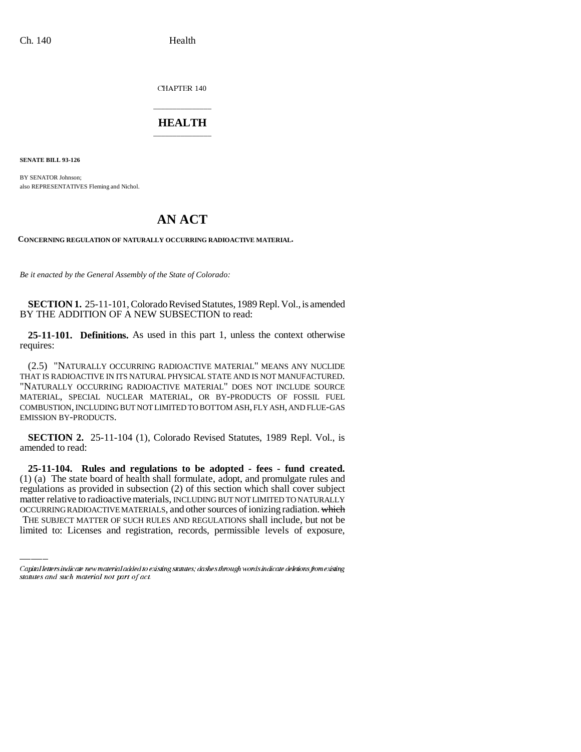CHAPTER 140

## \_\_\_\_\_\_\_\_\_\_\_\_\_\_\_ **HEALTH** \_\_\_\_\_\_\_\_\_\_\_\_\_\_\_

**SENATE BILL 93-126**

BY SENATOR Johnson; also REPRESENTATIVES Fleming and Nichol.

## **AN ACT**

**CONCERNING REGULATION OF NATURALLY OCCURRING RADIOACTIVE MATERIAL.**

*Be it enacted by the General Assembly of the State of Colorado:*

**SECTION 1.** 25-11-101, Colorado Revised Statutes, 1989 Repl. Vol., is amended BY THE ADDITION OF A NEW SUBSECTION to read:

**25-11-101. Definitions.** As used in this part 1, unless the context otherwise requires:

(2.5) "NATURALLY OCCURRING RADIOACTIVE MATERIAL" MEANS ANY NUCLIDE THAT IS RADIOACTIVE IN ITS NATURAL PHYSICAL STATE AND IS NOT MANUFACTURED. "NATURALLY OCCURRING RADIOACTIVE MATERIAL" DOES NOT INCLUDE SOURCE MATERIAL, SPECIAL NUCLEAR MATERIAL, OR BY-PRODUCTS OF FOSSIL FUEL COMBUSTION, INCLUDING BUT NOT LIMITED TO BOTTOM ASH, FLY ASH, AND FLUE-GAS EMISSION BY-PRODUCTS.

**SECTION 2.** 25-11-104 (1), Colorado Revised Statutes, 1989 Repl. Vol., is amended to read:

regulations as provided in subsection (2) of this section which shall cover subject **25-11-104. Rules and regulations to be adopted - fees - fund created.** (1) (a) The state board of health shall formulate, adopt, and promulgate rules and matter relative to radioactive materials, INCLUDING BUT NOT LIMITED TO NATURALLY OCCURRING RADIOACTIVE MATERIALS, and other sources of ionizing radiation. which THE SUBJECT MATTER OF SUCH RULES AND REGULATIONS shall include, but not be limited to: Licenses and registration, records, permissible levels of exposure,

Capital letters indicate new material added to existing statutes; dashes through words indicate deletions from existing statutes and such material not part of act.